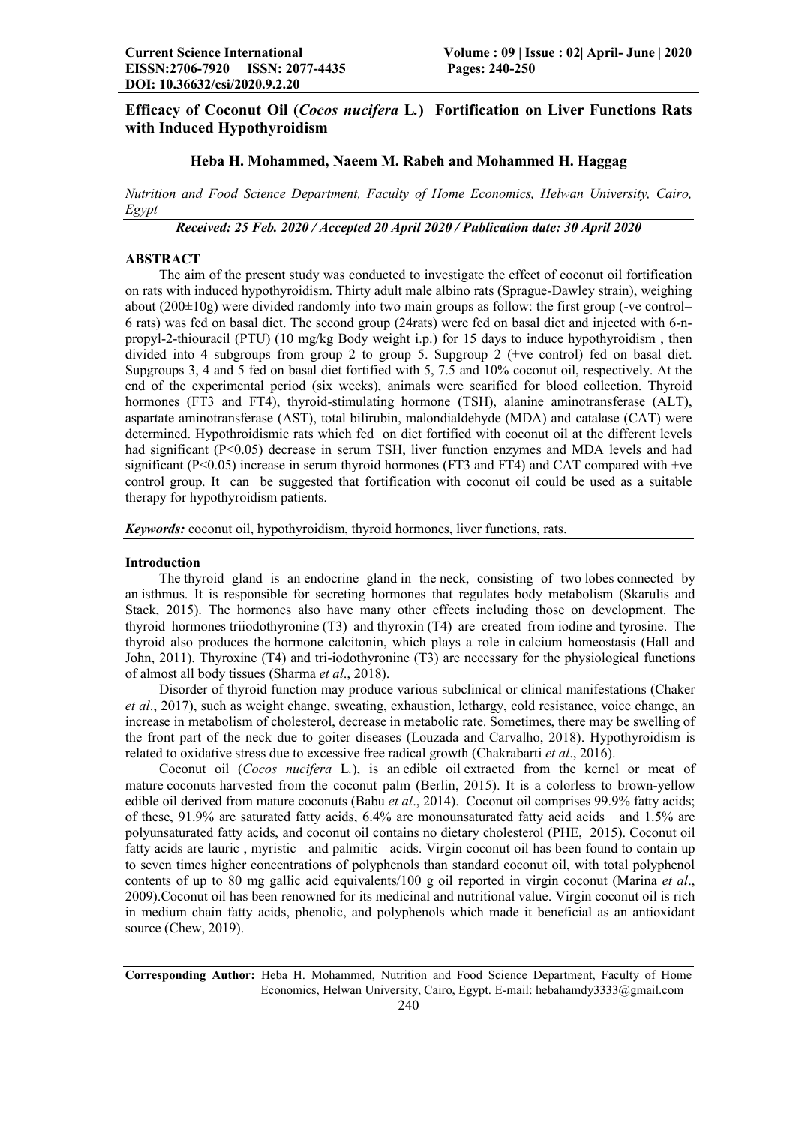# Efficacy of Coconut Oil (*Cocos nucifera* L*.*) Fortification on Liver Functions Rats with Induced Hypothyroidism

## Heba H. Mohammed, Naeem M. Rabeh and Mohammed H. Haggag

*Nutrition and Food Science Department, Faculty of Home Economics, Helwan University, Cairo, Egypt*

*Received: 25 Feb. 2020 / Accepted 20 April 2020 / Publication date: 30 April 2020*

## ABSTRACT

The aim of the present study was conducted to investigate the effect of coconut oil fortification on rats with induced hypothyroidism. Thirty adult male albino rats (Sprague-Dawley strain), weighing about  $(200\pm10)$  were divided randomly into two main groups as follow: the first group (-ve control= 6 rats) was fed on basal diet. The second group (24rats) were fed on basal diet and injected with 6-npropyl-2-thiouracil (PTU) (10 mg/kg Body weight i.p.) for 15 days to induce hypothyroidism , then divided into 4 subgroups from group 2 to group 5. Supgroup 2 (+ve control) fed on basal diet. Supgroups 3, 4 and 5 fed on basal diet fortified with 5, 7.5 and 10% coconut oil, respectively. At the end of the experimental period (six weeks), animals were scarified for blood collection. Thyroid hormones (FT3 and FT4), thyroid-stimulating hormone (TSH), alanine aminotransferase (ALT), aspartate aminotransferase (AST), total bilirubin, malondialdehyde (MDA) and catalase (CAT) were determined. Hypothroidismic rats which fed on diet fortified with coconut oil at the different levels had significant (P<0.05) decrease in serum TSH, liver function enzymes and MDA levels and had significant  $(P<0.05)$  increase in serum thyroid hormones (FT3 and FT4) and CAT compared with +ve control group. It can be suggested that fortification with coconut oil could be used as a suitable therapy for hypothyroidism patients.

*Keywords:* coconut oil, hypothyroidism, thyroid hormones, liver functions, rats.

## Introduction

The thyroid gland is an endocrine gland in the neck, consisting of two lobes connected by an isthmus. It is responsible for secreting hormones that regulates body metabolism (Skarulis and Stack, 2015). The hormones also have many other effects including those on development. The thyroid hormones triiodothyronine (T3) and thyroxin (T4) are created from iodine and tyrosine. The thyroid also produces the hormone calcitonin, which plays a role in calcium homeostasis (Hall and John, 2011). Thyroxine (T4) and tri-iodothyronine (T3) are necessary for the physiological functions of almost all body tissues (Sharma *et al*., 2018).

Disorder of thyroid function may produce various subclinical or clinical manifestations (Chaker *et al*., 2017), such as weight change, sweating, exhaustion, lethargy, cold resistance, voice change, an increase in metabolism of cholesterol, decrease in metabolic rate. Sometimes, there may be swelling of the front part of the neck due to goiter diseases (Louzada and Carvalho, 2018). Hypothyroidism is related to oxidative stress due to excessive free radical growth (Chakrabarti *et al*., 2016).

Coconut oil (*Cocos nucifera* L*.*), is an edible oil extracted from the kernel or meat of mature coconuts harvested from the coconut palm (Berlin, 2015). It is a colorless to brown-yellow edible oil derived from mature coconuts (Babu *et al*., 2014). Coconut oil comprises 99.9% fatty acids; of these, 91.9% are saturated fatty acids, 6.4% are monounsaturated fatty acid acids and 1.5% are polyunsaturated fatty acids, and coconut oil contains no dietary cholesterol (PHE, 2015). Coconut oil fatty acids are lauric , myristic and palmitic acids. Virgin coconut oil has been found to contain up to seven times higher concentrations of polyphenols than standard coconut oil, with total polyphenol contents of up to 80 mg gallic acid equivalents/100 g oil reported in virgin coconut (Marina *et al*., 2009).Coconut oil has been renowned for its medicinal and nutritional value. Virgin coconut oil is rich in medium chain fatty acids, phenolic, and polyphenols which made it beneficial as an antioxidant source (Chew, 2019).

Corresponding Author: Heba H. Mohammed, Nutrition and Food Science Department, Faculty of Home Economics, Helwan University, Cairo, Egypt. E-mail: hebahamdy3333@gmail.com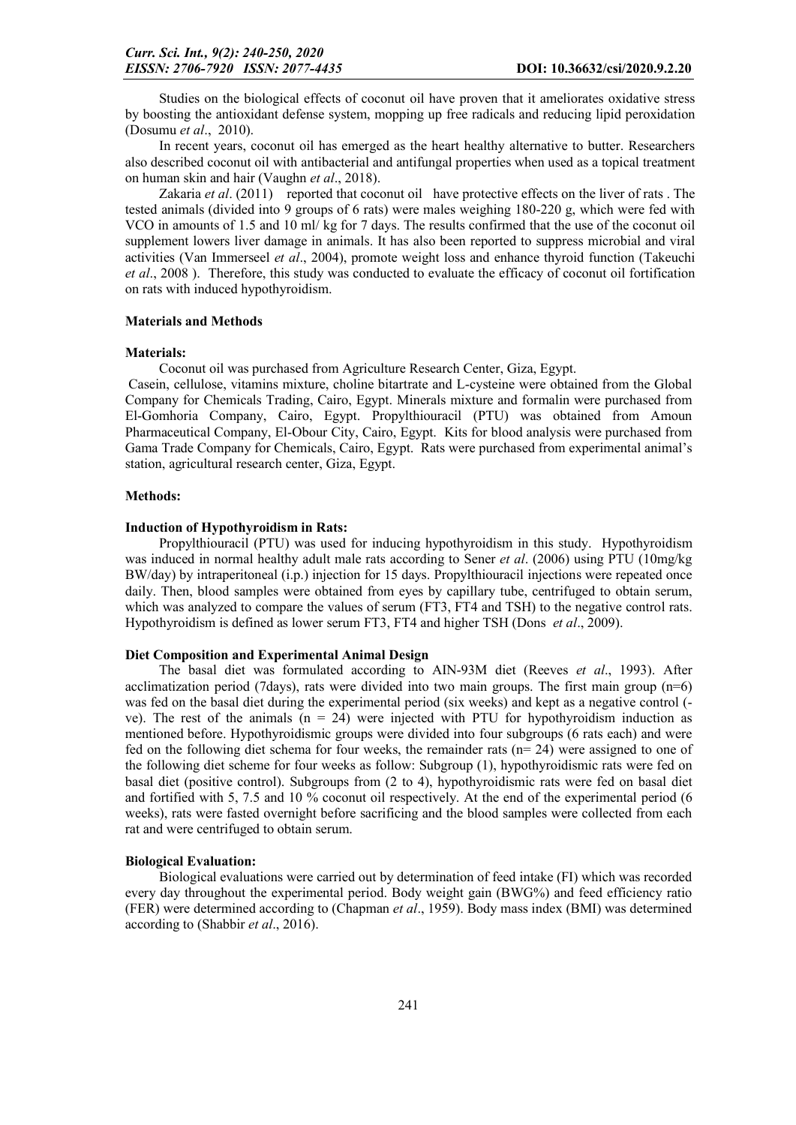Studies on the biological effects of coconut oil have proven that it ameliorates oxidative stress by boosting the antioxidant defense system, mopping up free radicals and reducing lipid peroxidation (Dosumu *et al*., 2010).

In recent years, coconut oil has emerged as the heart healthy alternative to butter. Researchers also described coconut oil with antibacterial and antifungal properties when used as a topical treatment on human skin and hair (Vaughn *et al*., 2018).

Zakaria *et al.* (2011) reported that coconut oil have protective effects on the liver of rats. The tested animals (divided into 9 groups of 6 rats) were males weighing 180-220 g, which were fed with VCO in amounts of 1.5 and 10 ml/ kg for 7 days. The results confirmed that the use of the coconut oil supplement lowers liver damage in animals. It has also been reported to suppress microbial and viral activities (Van Immerseel *et al*., 2004), promote weight loss and enhance thyroid function (Takeuchi *et al*., 2008 ). Therefore, this study was conducted to evaluate the efficacy of coconut oil fortification on rats with induced hypothyroidism.

#### Materials and Methods

#### Materials:

Coconut oil was purchased from Agriculture Research Center, Giza, Egypt.

Casein, cellulose, vitamins mixture, choline bitartrate and L-cysteine were obtained from the Global Company for Chemicals Trading, Cairo, Egypt. Minerals mixture and formalin were purchased from El-Gomhoria Company, Cairo, Egypt. Propylthiouracil (PTU) was obtained from Amoun Pharmaceutical Company, El-Obour City, Cairo, Egypt. Kits for blood analysis were purchased from Gama Trade Company for Chemicals, Cairo, Egypt. Rats were purchased from experimental animal's station, agricultural research center, Giza, Egypt.

### Methods:

#### Induction of Hypothyroidism in Rats:

Propylthiouracil (PTU) was used for inducing hypothyroidism in this study. Hypothyroidism was induced in normal healthy adult male rats according to Sener *et al*. (2006) using PTU (10mg/kg BW/day) by intraperitoneal (i.p.) injection for 15 days. Propylthiouracil injections were repeated once daily. Then, blood samples were obtained from eyes by capillary tube, centrifuged to obtain serum, which was analyzed to compare the values of serum (FT3, FT4 and TSH) to the negative control rats. Hypothyroidism is defined as lower serum FT3, FT4 and higher TSH (Dons *et al*., 2009).

#### Diet Composition and Experimental Animal Design

The basal diet was formulated according to AIN-93M diet (Reeves *et al*., 1993). After acclimatization period (7days), rats were divided into two main groups. The first main group  $(n=6)$ was fed on the basal diet during the experimental period (six weeks) and kept as a negative control (ve). The rest of the animals  $(n = 24)$  were injected with PTU for hypothyroidism induction as mentioned before. Hypothyroidismic groups were divided into four subgroups (6 rats each) and were fed on the following diet schema for four weeks, the remainder rats (n= 24) were assigned to one of the following diet scheme for four weeks as follow: Subgroup (1), hypothyroidismic rats were fed on basal diet (positive control). Subgroups from (2 to 4), hypothyroidismic rats were fed on basal diet and fortified with 5, 7.5 and 10 % coconut oil respectively. At the end of the experimental period (6 weeks), rats were fasted overnight before sacrificing and the blood samples were collected from each rat and were centrifuged to obtain serum.

#### Biological Evaluation:

Biological evaluations were carried out by determination of feed intake (FI) which was recorded every day throughout the experimental period. Body weight gain (BWG%) and feed efficiency ratio (FER) were determined according to (Chapman *et al*., 1959). Body mass index (BMI) was determined according to (Shabbir *et al*., 2016).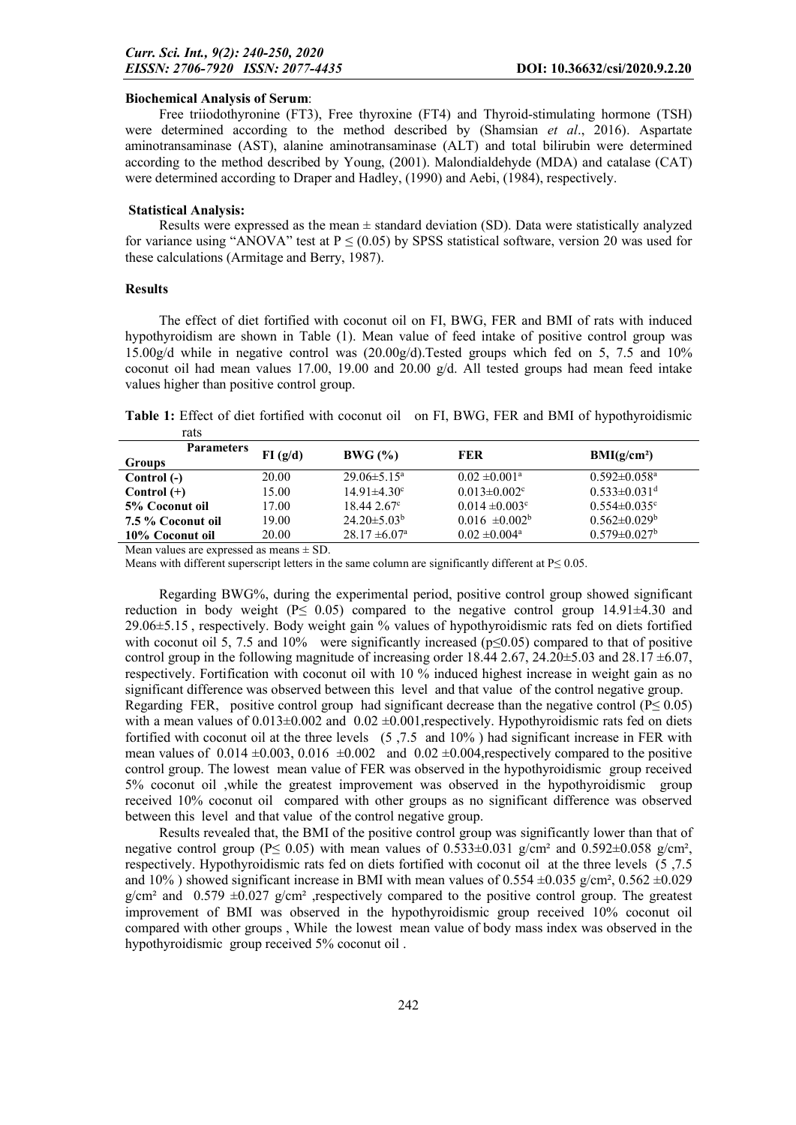### Biochemical Analysis of Serum:

Free triiodothyronine (FT3), Free thyroxine (FT4) and Thyroid-stimulating hormone (TSH) were determined according to the method described by (Shamsian *et al*., 2016). Aspartate aminotransaminase (AST), alanine aminotransaminase (ALT) and total bilirubin were determined according to the method described by Young, (2001). Malondialdehyde (MDA) and catalase (CAT) were determined according to Draper and Hadley, (1990) and Aebi, (1984), respectively.

#### Statistical Analysis:

Results were expressed as the mean  $\pm$  standard deviation (SD). Data were statistically analyzed for variance using "ANOVA" test at  $P \le (0.05)$  by SPSS statistical software, version 20 was used for these calculations (Armitage and Berry, 1987).

### Results

The effect of diet fortified with coconut oil on FI, BWG, FER and BMI of rats with induced hypothyroidism are shown in Table (1). Mean value of feed intake of positive control group was 15.00g/d while in negative control was (20.00g/d).Tested groups which fed on 5, 7.5 and 10% coconut oil had mean values 17.00, 19.00 and 20.00  $g/d$ . All tested groups had mean feed intake values higher than positive control group.

Table 1: Effect of diet fortified with coconut oil on FI, BWG, FER and BMI of hypothyroidismic rats

| <b>Parameters</b> | FI(g/d) | BWG (%)                       | FER                            | BMI(g/cm <sup>2</sup> )        |  |
|-------------------|---------|-------------------------------|--------------------------------|--------------------------------|--|
| Groups            |         |                               |                                |                                |  |
| Control (-)       | 20.00   | $29.06 \pm 5.15^a$            | $0.02 \pm 0.001^a$             | $0.592 \pm 0.058$ <sup>a</sup> |  |
| Control $(+)$     | 15.00   | $14.91 \pm 4.30^{\circ}$      | $0.013 \pm 0.002$ °            | $0.533 \pm 0.031$ <sup>d</sup> |  |
| 5% Coconut oil    | 17.00   | $18.442.67^{\circ}$           | $0.014 \pm 0.003$ <sup>c</sup> | $0.554 \pm 0.035$ <sup>c</sup> |  |
| 7.5 % Coconut oil | 19.00   | $24.20 \pm 5.03^{\circ}$      | $0.016 \pm 0.002^b$            | $0.562 \pm 0.029$              |  |
| 10% Coconut oil   | 20.00   | $28.17 \pm 6.07$ <sup>a</sup> | $0.02 \pm 0.004$ <sup>a</sup>  | $0.579 \pm 0.027$ <sup>b</sup> |  |
|                   |         |                               |                                |                                |  |

Mean values are expressed as means  $\pm$  SD.

Means with different superscript letters in the same column are significantly different at  $P \le 0.05$ .

Regarding BWG%, during the experimental period, positive control group showed significant reduction in body weight ( $P \le 0.05$ ) compared to the negative control group 14.91 $\pm$ 4.30 and 29.06±5.15 , respectively. Body weight gain % values of hypothyroidismic rats fed on diets fortified with coconut oil 5, 7.5 and 10% were significantly increased ( $p \le 0.05$ ) compared to that of positive control group in the following magnitude of increasing order 18.44 2.67, 24.20 $\pm$ 5.03 and 28.17  $\pm$ 6.07, respectively. Fortification with coconut oil with 10 % induced highest increase in weight gain as no significant difference was observed between this level and that value of the control negative group. Regarding FER, positive control group had significant decrease than the negative control ( $P \le 0.05$ ) with a mean values of  $0.013\pm0.002$  and  $0.02\pm0.001$ , respectively. Hypothyroidismic rats fed on diets fortified with coconut oil at the three levels (5 ,7.5 and 10% ) had significant increase in FER with mean values of  $0.014 \pm 0.003$ ,  $0.016 \pm 0.002$  and  $0.02 \pm 0.004$ , respectively compared to the positive control group. The lowest mean value of FER was observed in the hypothyroidismic group received 5% coconut oil ,while the greatest improvement was observed in the hypothyroidismic group received 10% coconut oil compared with other groups as no significant difference was observed between this level and that value of the control negative group.

Results revealed that, the BMI of the positive control group was significantly lower than that of negative control group (P $\leq$  0.05) with mean values of 0.533±0.031 g/cm<sup>2</sup> and 0.592±0.058 g/cm<sup>2</sup>, respectively. Hypothyroidismic rats fed on diets fortified with coconut oil at the three levels (5 ,7.5 and 10%) showed significant increase in BMI with mean values of  $0.554 \pm 0.035$  g/cm<sup>2</sup>,  $0.562 \pm 0.029$  $g/cm<sup>2</sup>$  and 0.579  $\pm$ 0.027 g/cm<sup>2</sup> ,respectively compared to the positive control group. The greatest improvement of BMI was observed in the hypothyroidismic group received 10% coconut oil compared with other groups , While the lowest mean value of body mass index was observed in the hypothyroidismic group received 5% coconut oil .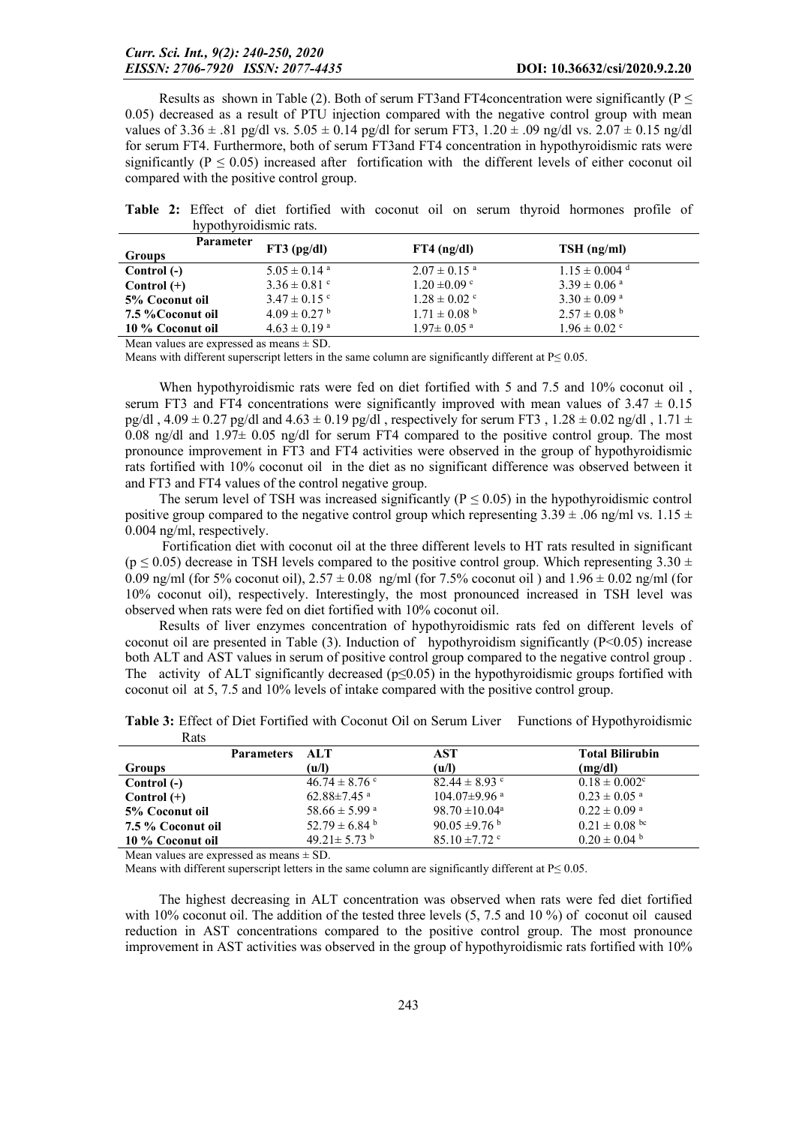Results as shown in Table (2). Both of serum FT3and FT4concentration were significantly ( $P \leq$ 0.05) decreased as a result of PTU injection compared with the negative control group with mean values of  $3.36 \pm .81$  pg/dl vs.  $5.05 \pm 0.14$  pg/dl for serum FT3,  $1.20 \pm .09$  ng/dl vs.  $2.07 \pm 0.15$  ng/dl for serum FT4. Furthermore, both of serum FT3and FT4 concentration in hypothyroidismic rats were significantly ( $P \le 0.05$ ) increased after fortification with the different levels of either coconut oil compared with the positive control group.

Table 2: Effect of diet fortified with coconut oil on serum thyroid hormones profile of hypothyroidismic rats.

| <b>Parameter</b><br><b>Groups</b> | $FT3$ (pg/dl)                | $FT4$ (ng/dl)                | $TSH$ (ng/ml)                 |
|-----------------------------------|------------------------------|------------------------------|-------------------------------|
| Control (-)                       | $5.05 \pm 0.14$ <sup>a</sup> | $2.07 \pm 0.15$ <sup>a</sup> | $1.15 \pm 0.004$ <sup>d</sup> |
| $Control (+)$                     | $3.36 \pm 0.81$ c            | $1.20 \pm 0.09$ c            | $3.39 \pm 0.06$ <sup>a</sup>  |
| 5% Coconut oil                    | $3.47 \pm 0.15$ °            | $1.28 \pm 0.02$ °            | $3.30 \pm 0.09$ <sup>a</sup>  |
| 7.5 % Coconut oil                 | $4.09 \pm 0.27$ <sup>b</sup> | $1.71 \pm 0.08$ <sup>b</sup> | $2.57 \pm 0.08$ <sup>b</sup>  |
| 10 % Coconut oil                  | $4.63 \pm 0.19$ <sup>a</sup> | $1.97 \pm 0.05$ <sup>a</sup> | $1.96 \pm 0.02$ °             |

Mean values are expressed as means  $\pm$  SD.

Means with different superscript letters in the same column are significantly different at  $P \le 0.05$ .

When hypothyroidismic rats were fed on diet fortified with 5 and 7.5 and 10% coconut oil , serum FT3 and FT4 concentrations were significantly improved with mean values of  $3.47 \pm 0.15$ pg/dl , 4.09  $\pm$  0.27 pg/dl and 4.63  $\pm$  0.19 pg/dl , respectively for serum FT3 , 1.28  $\pm$  0.02 ng/dl , 1.71  $\pm$ 0.08 ng/dl and  $1.97\pm$  0.05 ng/dl for serum FT4 compared to the positive control group. The most pronounce improvement in FT3 and FT4 activities were observed in the group of hypothyroidismic rats fortified with 10% coconut oil in the diet as no significant difference was observed between it and FT3 and FT4 values of the control negative group.

The serum level of TSH was increased significantly ( $P \le 0.05$ ) in the hypothyroidismic control positive group compared to the negative control group which representing  $3.39 \pm .06$  ng/ml vs.  $1.15 \pm$ 0.004 ng/ml, respectively.

Fortification diet with coconut oil at the three different levels to HT rats resulted in significant ( $p \le 0.05$ ) decrease in TSH levels compared to the positive control group. Which representing 3.30  $\pm$ 0.09 ng/ml (for 5% coconut oil),  $2.57 \pm 0.08$  ng/ml (for 7.5% coconut oil) and  $1.96 \pm 0.02$  ng/ml (for 10% coconut oil), respectively. Interestingly, the most pronounced increased in TSH level was observed when rats were fed on diet fortified with 10% coconut oil.

Results of liver enzymes concentration of hypothyroidismic rats fed on different levels of coconut oil are presented in Table (3). Induction of hypothyroidism significantly (P<0.05) increase both ALT and AST values in serum of positive control group compared to the negative control group . The activity of ALT significantly decreased ( $p \le 0.05$ ) in the hypothyroidismic groups fortified with coconut oil at 5, 7.5 and 10% levels of intake compared with the positive control group.

Table 3: Effect of Diet Fortified with Coconut Oil on Serum Liver Functions of Hypothyroidismic  $D_{\alpha ta}$ 

| nais              |                   |                               |                              |                               |
|-------------------|-------------------|-------------------------------|------------------------------|-------------------------------|
|                   | <b>Parameters</b> | - ALT                         | AST                          | <b>Total Bilirubin</b>        |
| Groups            |                   | (u/l)                         | (u/l)                        | (mg/dl)                       |
| Control (-)       |                   | $46.74 \pm 8.76$ c            | $82.44 \pm 8.93$ °           | $0.18 \pm 0.002$ <sup>c</sup> |
| Control $(+)$     |                   | 62.88 $\pm$ 7.45 $\mathrm{a}$ | $104.07\pm9.96$ <sup>a</sup> | $0.23 \pm 0.05$ <sup>a</sup>  |
| 5% Coconut oil    |                   | 58.66 $\pm$ 5.99 $^{\circ}$   | $98.70 \pm 10.04^{\circ}$    | $0.22 \pm 0.09$ <sup>a</sup>  |
| 7.5 % Coconut oil |                   | 52.79 $\pm$ 6.84 <sup>b</sup> | 90.05 $\pm$ 9.76 $^{\rm b}$  | $0.21 \pm 0.08$ bc            |
| 10 % Coconut oil  |                   | 49.21 $\pm$ 5.73 <sup>b</sup> | $85.10 \pm 7.72$ °           | $0.20 \pm 0.04$ b             |
|                   |                   |                               |                              |                               |

Mean values are expressed as means  $\pm$  SD.

Means with different superscript letters in the same column are significantly different at  $P \le 0.05$ .

The highest decreasing in ALT concentration was observed when rats were fed diet fortified with 10% coconut oil. The addition of the tested three levels (5, 7.5 and 10 %) of coconut oil caused reduction in AST concentrations compared to the positive control group. The most pronounce improvement in AST activities was observed in the group of hypothyroidismic rats fortified with 10%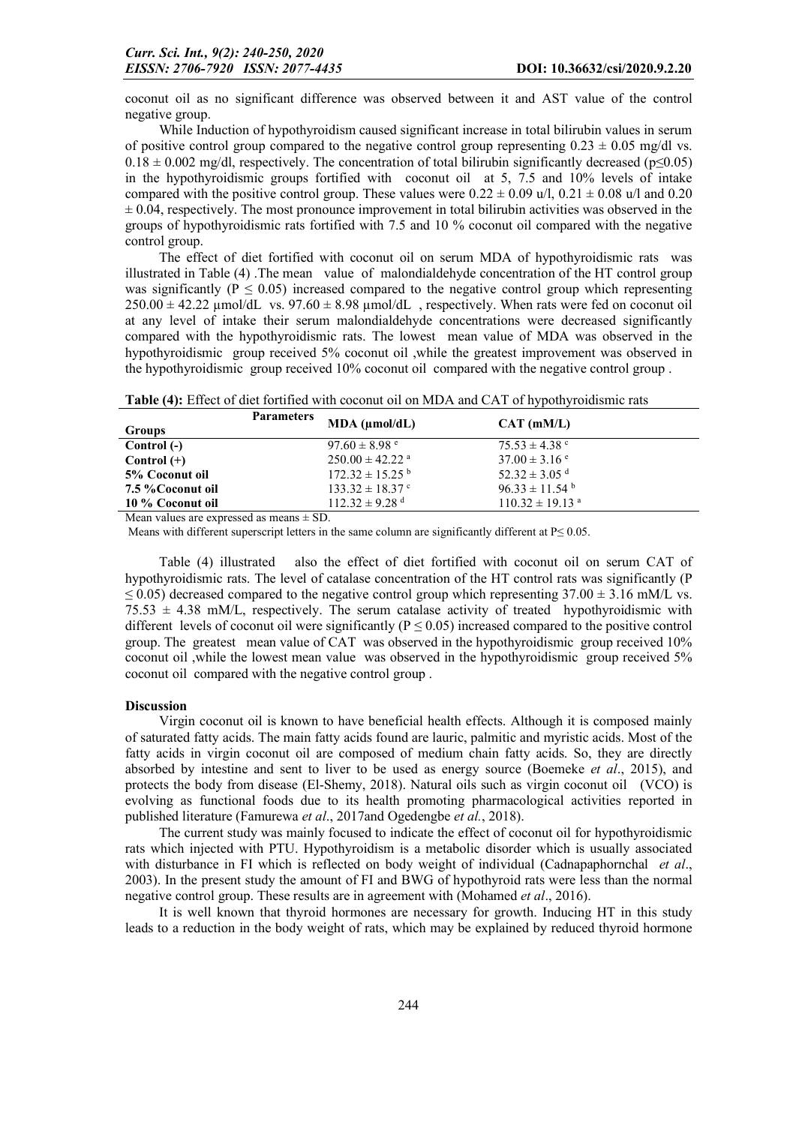coconut oil as no significant difference was observed between it and AST value of the control negative group.

While Induction of hypothyroidism caused significant increase in total bilirubin values in serum of positive control group compared to the negative control group representing  $0.23 \pm 0.05$  mg/dl vs.  $0.18 \pm 0.002$  mg/dl, respectively. The concentration of total bilirubin significantly decreased (p≤0.05) in the hypothyroidismic groups fortified with coconut oil at 5, 7.5 and 10% levels of intake compared with the positive control group. These values were  $0.22 \pm 0.09$  u/l,  $0.21 \pm 0.08$  u/l and 0.20  $\pm$  0.04, respectively. The most pronounce improvement in total bilirubin activities was observed in the groups of hypothyroidismic rats fortified with 7.5 and 10 % coconut oil compared with the negative control group.

The effect of diet fortified with coconut oil on serum MDA of hypothyroidismic rats was illustrated in Table (4) .The mean value of malondialdehyde concentration of the HT control group was significantly ( $P \le 0.05$ ) increased compared to the negative control group which representing  $250.00 \pm 42.22$  µmol/dL vs.  $97.60 \pm 8.98$  µmol/dL , respectively. When rats were fed on coconut oil at any level of intake their serum malondialdehyde concentrations were decreased significantly compared with the hypothyroidismic rats. The lowest mean value of MDA was observed in the hypothyroidismic group received 5% coconut oil ,while the greatest improvement was observed in the hypothyroidismic group received 10% coconut oil compared with the negative control group .

| Groups         | <b>Parameters</b> | $MDA$ ( $\mu$ mol/dL)           | $CAT$ (mM/L)                  |  |
|----------------|-------------------|---------------------------------|-------------------------------|--|
| Control (-)    |                   | $97.60 \pm 8.98$ e              | $75.53 \pm 4.38$ c            |  |
| $Control (+)$  |                   | $250.00 \pm 42.22$ <sup>a</sup> | $37.00 \pm 3.16$ e            |  |
| 5% Coconut oil |                   | $172.32 \pm 15.25$ <sup>b</sup> | $52.32 \pm 3.05$ <sup>d</sup> |  |

Table (4): Effect of diet fortified with coconut oil on MDA and CAT of hypothyroidismic rats

Mean values are expressed as means  $\pm$  SD.

Means with different superscript letters in the same column are significantly different at  $P \le 0.05$ .

5% Coconut oil  $172.32 \pm 15.25$  b  $52.32 \pm 3.05$  d<br>  $7.5$  % Coconut oil  $133.32 \pm 18.37$  c  $96.33 \pm 11.54$  b **7.5 % Coconut oil** 133.32  $\pm$  18.37 <sup>c</sup> 96.33  $\pm$  11.54 <sup>b</sup> 10 % Coconut oil 112.32  $\pm$  9.28 <sup>d</sup> 110.32  $\pm$  19.13 <sup>a</sup>

Table (4) illustrated also the effect of diet fortified with coconut oil on serum CAT of hypothyroidismic rats. The level of catalase concentration of the HT control rats was significantly (P  $\leq$  0.05) decreased compared to the negative control group which representing 37.00  $\pm$  3.16 mM/L vs.  $75.53 \pm 4.38$  mM/L, respectively. The serum catalase activity of treated hypothyroidismic with different levels of coconut oil were significantly ( $P \le 0.05$ ) increased compared to the positive control group. The greatest mean value of CAT was observed in the hypothyroidismic group received 10% coconut oil ,while the lowest mean value was observed in the hypothyroidismic group received 5% coconut oil compared with the negative control group .

#### Discussion

10 % Coconut oil

Virgin coconut oil is known to have beneficial health effects. Although it is composed mainly of saturated fatty acids. The main fatty acids found are lauric, palmitic and myristic acids. Most of the fatty acids in virgin coconut oil are composed of medium chain fatty acids. So, they are directly absorbed by intestine and sent to liver to be used as energy source (Boemeke *et al*., 2015), and protects the body from disease (El-Shemy, 2018). Natural oils such as virgin coconut oil (VCO) is evolving as functional foods due to its health promoting pharmacological activities reported in published literature (Famurewa *et al*., 2017and Ogedengbe *et al.*, 2018).

The current study was mainly focused to indicate the effect of coconut oil for hypothyroidismic rats which injected with PTU. Hypothyroidism is a metabolic disorder which is usually associated with disturbance in FI which is reflected on body weight of individual (Cadnapaphornchal *et al*., 2003). In the present study the amount of FI and BWG of hypothyroid rats were less than the normal negative control group. These results are in agreement with (Mohamed *et al*., 2016).

It is well known that thyroid hormones are necessary for growth. Inducing HT in this study leads to a reduction in the body weight of rats, which may be explained by reduced thyroid hormone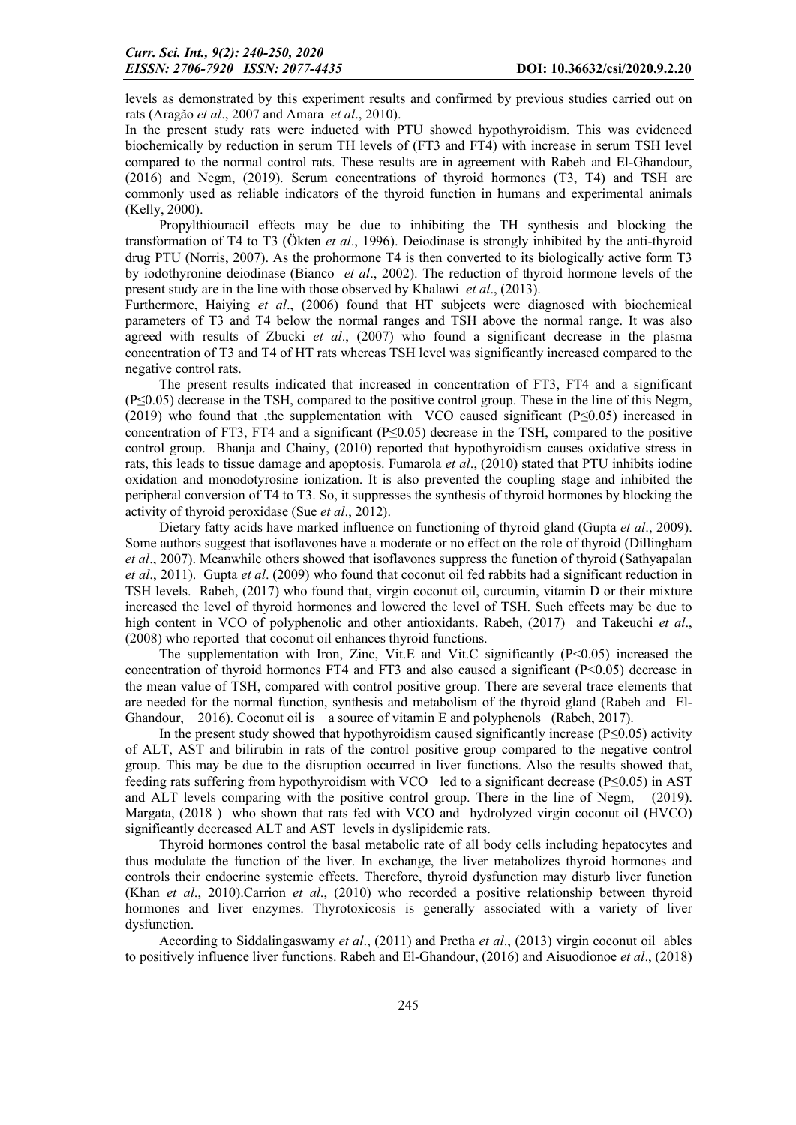levels as demonstrated by this experiment results and confirmed by previous studies carried out on rats (Aragão *et al*., 2007 and Amara *et al*., 2010).

In the present study rats were inducted with PTU showed hypothyroidism. This was evidenced biochemically by reduction in serum TH levels of (FT3 and FT4) with increase in serum TSH level compared to the normal control rats. These results are in agreement with Rabeh and El-Ghandour, (2016) and Negm, (2019). Serum concentrations of thyroid hormones (T3, T4) and TSH are commonly used as reliable indicators of the thyroid function in humans and experimental animals (Kelly, 2000).

Propylthiouracil effects may be due to inhibiting the TH synthesis and blocking the transformation of T4 to T3 (Ökten *et al*., 1996). Deiodinase is strongly inhibited by the anti-thyroid drug PTU (Norris, 2007). As the prohormone T4 is then converted to its biologically active form T3 by iodothyronine deiodinase (Bianco *et al*., 2002). The reduction of thyroid hormone levels of the present study are in the line with those observed by Khalawi *et al*., (2013).

Furthermore, Haiying *et al*., (2006) found that HT subjects were diagnosed with biochemical parameters of T3 and T4 below the normal ranges and TSH above the normal range. It was also agreed with results of Zbucki *et al*., (2007) who found a significant decrease in the plasma concentration of T3 and T4 of HT rats whereas TSH level was significantly increased compared to the negative control rats.

The present results indicated that increased in concentration of FT3, FT4 and a significant (P≤0.05) decrease in the TSH, compared to the positive control group. These in the line of this Negm, (2019) who found that ,the supplementation with VCO caused significant (P≤0.05) increased in concentration of FT3, FT4 and a significant (P≤0.05) decrease in the TSH, compared to the positive control group. Bhanja and Chainy, (2010) reported that hypothyroidism causes oxidative stress in rats, this leads to tissue damage and apoptosis. Fumarola *et al*., (2010) stated that PTU inhibits iodine oxidation and monodotyrosine ionization. It is also prevented the coupling stage and inhibited the peripheral conversion of T4 to T3. So, it suppresses the synthesis of thyroid hormones by blocking the activity of thyroid peroxidase (Sue *et al*., 2012).

Dietary fatty acids have marked influence on functioning of thyroid gland (Gupta *et al*., 2009). Some authors suggest that isoflavones have a moderate or no effect on the role of thyroid (Dillingham *et al*., 2007). Meanwhile others showed that isoflavones suppress the function of thyroid (Sathyapalan *et al*., 2011). Gupta *et al*. (2009) who found that coconut oil fed rabbits had a significant reduction in TSH levels. Rabeh, (2017) who found that, virgin coconut oil, curcumin, vitamin D or their mixture increased the level of thyroid hormones and lowered the level of TSH. Such effects may be due to high content in VCO of polyphenolic and other antioxidants. Rabeh, (2017) and Takeuchi *et al*., (2008) who reported that coconut oil enhances thyroid functions.

The supplementation with Iron, Zinc, Vit.E and Vit.C significantly  $(P<0.05)$  increased the concentration of thyroid hormones FT4 and FT3 and also caused a significant  $(P<0.05)$  decrease in the mean value of TSH, compared with control positive group. There are several trace elements that are needed for the normal function, synthesis and metabolism of the thyroid gland (Rabeh and El-Ghandour, 2016). Coconut oil is a source of vitamin E and polyphenols (Rabeh, 2017).

In the present study showed that hypothyroidism caused significantly increase ( $P \le 0.05$ ) activity of ALT, AST and bilirubin in rats of the control positive group compared to the negative control group. This may be due to the disruption occurred in liver functions. Also the results showed that, feeding rats suffering from hypothyroidism with VCO led to a significant decrease (P≤0.05) in AST and ALT levels comparing with the positive control group. There in the line of Negm, (2019). Margata, (2018 ) who shown that rats fed with VCO and hydrolyzed virgin coconut oil (HVCO) significantly decreased ALT and AST levels in dyslipidemic rats.

Thyroid hormones control the basal metabolic rate of all body cells including hepatocytes and thus modulate the function of the liver. In exchange, the liver metabolizes thyroid hormones and controls their endocrine systemic effects. Therefore, thyroid dysfunction may disturb liver function (Khan *et al*., 2010).Carrion *et al*., (2010) who recorded a positive relationship between thyroid hormones and liver enzymes. Thyrotoxicosis is generally associated with a variety of liver dysfunction.

According to Siddalingaswamy *et al*., (2011) and Pretha *et al*., (2013) virgin coconut oil ables to positively influence liver functions. Rabeh and El-Ghandour, (2016) and Aisuodionoe *et al*., (2018)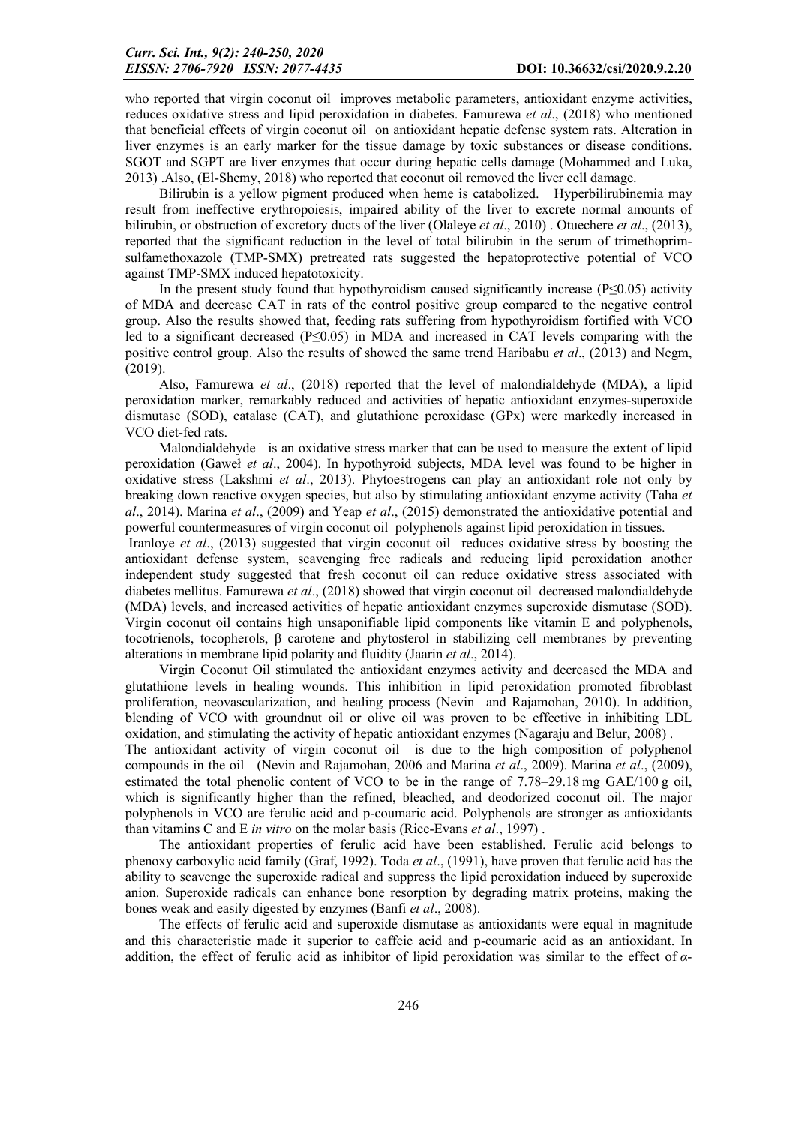who reported that virgin coconut oil improves metabolic parameters, antioxidant enzyme activities, reduces oxidative stress and lipid peroxidation in diabetes. Famurewa *et al*., (2018) who mentioned that beneficial effects of virgin coconut oil on antioxidant hepatic defense system rats. Alteration in liver enzymes is an early marker for the tissue damage by toxic substances or disease conditions. SGOT and SGPT are liver enzymes that occur during hepatic cells damage (Mohammed and Luka, 2013) .Also, (El-Shemy, 2018) who reported that coconut oil removed the liver cell damage.

Bilirubin is a yellow pigment produced when heme is catabolized. Hyperbilirubinemia may result from ineffective erythropoiesis, impaired ability of the liver to excrete normal amounts of bilirubin, or obstruction of excretory ducts of the liver (Olaleye *et al*., 2010) . Otuechere *et al*., (2013), reported that the significant reduction in the level of total bilirubin in the serum of trimethoprimsulfamethoxazole (TMP-SMX) pretreated rats suggested the hepatoprotective potential of VCO against TMP-SMX induced hepatotoxicity.

In the present study found that hypothyroidism caused significantly increase ( $P\leq 0.05$ ) activity of MDA and decrease CAT in rats of the control positive group compared to the negative control group. Also the results showed that, feeding rats suffering from hypothyroidism fortified with VCO led to a significant decreased (P≤0.05) in MDA and increased in CAT levels comparing with the positive control group. Also the results of showed the same trend Haribabu *et al*., (2013) and Negm, (2019).

Also, Famurewa *et al*., (2018) reported that the level of malondialdehyde (MDA), a lipid peroxidation marker, remarkably reduced and activities of hepatic antioxidant enzymes-superoxide dismutase (SOD), catalase (CAT), and glutathione peroxidase (GPx) were markedly increased in VCO diet-fed rats.

Malondialdehyde is an oxidative stress marker that can be used to measure the extent of lipid peroxidation (Gaweł *et al*., 2004). In hypothyroid subjects, MDA level was found to be higher in oxidative stress (Lakshmi *et al*., 2013). Phytoestrogens can play an antioxidant role not only by breaking down reactive oxygen species, but also by stimulating antioxidant enzyme activity (Taha *et al*., 2014). Marina *et al*., (2009) and Yeap *et al*., (2015) demonstrated the antioxidative potential and powerful countermeasures of virgin coconut oil polyphenols against lipid peroxidation in tissues.

Iranloye *et al*., (2013) suggested that virgin coconut oil reduces oxidative stress by boosting the antioxidant defense system, scavenging free radicals and reducing lipid peroxidation another independent study suggested that fresh coconut oil can reduce oxidative stress associated with diabetes mellitus. Famurewa *et al*., (2018) showed that virgin coconut oil decreased malondialdehyde (MDA) levels, and increased activities of hepatic antioxidant enzymes superoxide dismutase (SOD). Virgin coconut oil contains high unsaponifiable lipid components like vitamin E and polyphenols, tocotrienols, tocopherols, β carotene and phytosterol in stabilizing cell membranes by preventing alterations in membrane lipid polarity and fluidity (Jaarin *et al*., 2014).

Virgin Coconut Oil stimulated the antioxidant enzymes activity and decreased the MDA and glutathione levels in healing wounds. This inhibition in lipid peroxidation promoted fibroblast proliferation, neovascularization, and healing process (Nevin and Rajamohan, 2010). In addition, blending of VCO with groundnut oil or olive oil was proven to be effective in inhibiting LDL oxidation, and stimulating the activity of hepatic antioxidant enzymes (Nagaraju and Belur, 2008) .

The antioxidant activity of virgin coconut oil is due to the high composition of polyphenol compounds in the oil (Nevin and Rajamohan, 2006 and Marina *et al*., 2009). Marina *et al*., (2009), estimated the total phenolic content of VCO to be in the range of 7.78–29.18 mg GAE/100 g oil, which is significantly higher than the refined, bleached, and deodorized coconut oil. The major polyphenols in VCO are ferulic acid and p-coumaric acid. Polyphenols are stronger as antioxidants than vitamins C and E *in vitro* on the molar basis (Rice-Evans *et al*., 1997) .

The antioxidant properties of ferulic acid have been established. Ferulic acid belongs to phenoxy carboxylic acid family (Graf, 1992). Toda *et al*., (1991), have proven that ferulic acid has the ability to scavenge the superoxide radical and suppress the lipid peroxidation induced by superoxide anion. Superoxide radicals can enhance bone resorption by degrading matrix proteins, making the bones weak and easily digested by enzymes (Banfi *et al*., 2008).

The effects of ferulic acid and superoxide dismutase as antioxidants were equal in magnitude and this characteristic made it superior to caffeic acid and p-coumaric acid as an antioxidant. In addition, the effect of ferulic acid as inhibitor of lipid peroxidation was similar to the effect of *α*-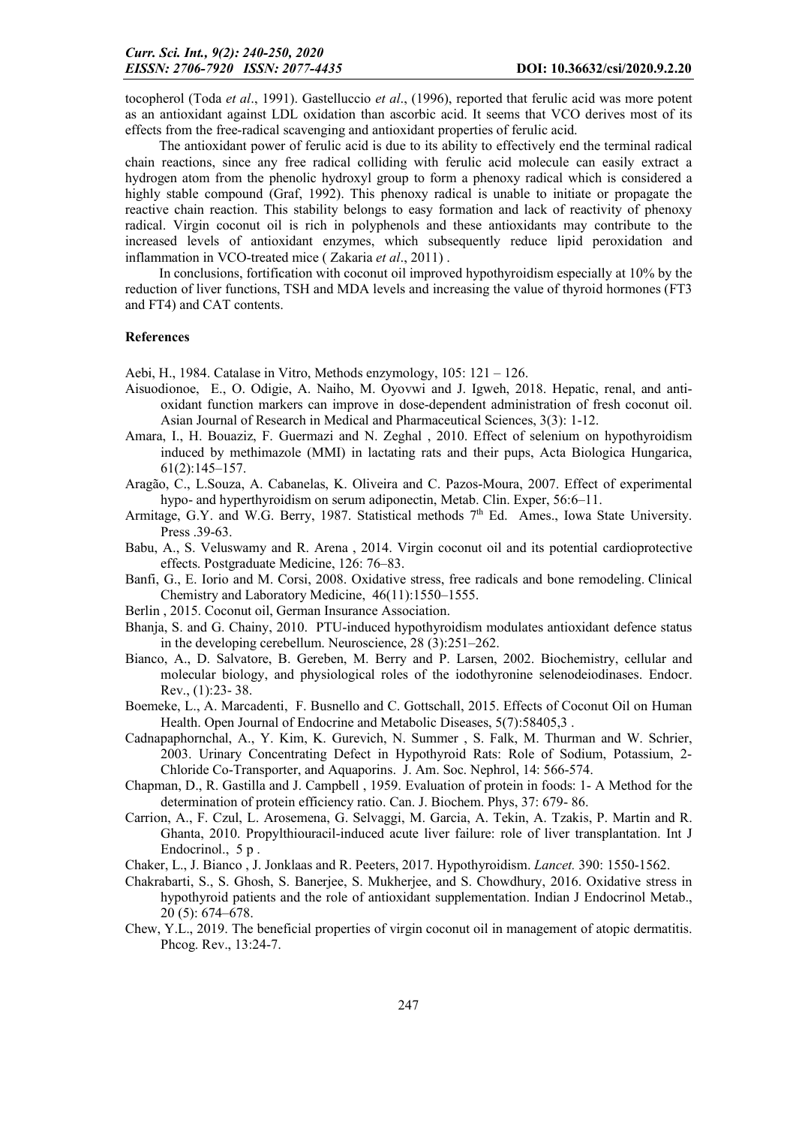tocopherol (Toda *et al*., 1991). Gastelluccio *et al*., (1996), reported that ferulic acid was more potent as an antioxidant against LDL oxidation than ascorbic acid. It seems that VCO derives most of its effects from the free-radical scavenging and antioxidant properties of ferulic acid.

The antioxidant power of ferulic acid is due to its ability to effectively end the terminal radical chain reactions, since any free radical colliding with ferulic acid molecule can easily extract a hydrogen atom from the phenolic hydroxyl group to form a phenoxy radical which is considered a highly stable compound (Graf, 1992). This phenoxy radical is unable to initiate or propagate the reactive chain reaction. This stability belongs to easy formation and lack of reactivity of phenoxy radical. Virgin coconut oil is rich in polyphenols and these antioxidants may contribute to the increased levels of antioxidant enzymes, which subsequently reduce lipid peroxidation and inflammation in VCO-treated mice ( Zakaria *et al*., 2011) .

In conclusions, fortification with coconut oil improved hypothyroidism especially at 10% by the reduction of liver functions, TSH and MDA levels and increasing the value of thyroid hormones (FT3 and FT4) and CAT contents.

#### References

Aebi, H., 1984. Catalase in Vitro, Methods enzymology, 105: 121 – 126.

- Aisuodionoe, E., O. Odigie, A. Naiho, M. Oyovwi and J. Igweh, 2018. Hepatic, renal, and antioxidant function markers can improve in dose-dependent administration of fresh coconut oil. Asian Journal of Research in Medical and Pharmaceutical Sciences, 3(3): 1-12.
- Amara, I., H. Bouaziz, F. Guermazi and N. Zeghal , 2010. Effect of selenium on hypothyroidism induced by methimazole (MMI) in lactating rats and their pups, Acta Biologica Hungarica, 61(2):145–157.
- Aragão, C., L.Souza, A. Cabanelas, K. Oliveira and C. Pazos-Moura, 2007. Effect of experimental hypo- and hyperthyroidism on serum adiponectin, Metab. Clin. Exper, 56:6–11.
- Armitage, G.Y. and W.G. Berry, 1987. Statistical methods  $7<sup>th</sup>$  Ed. Ames., Iowa State University. Press .39-63.
- Babu, A., S. Veluswamy and R. Arena , 2014. Virgin coconut oil and its potential cardioprotective effects. Postgraduate Medicine, 126: 76–83.
- Banfi, G., E. Iorio and M. Corsi, 2008. Oxidative stress, free radicals and bone remodeling. Clinical Chemistry and Laboratory Medicine, 46(11):1550–1555.
- Berlin , 2015. Coconut oil, German Insurance Association.
- Bhanja, S. and G. Chainy, 2010. PTU-induced hypothyroidism modulates antioxidant defence status in the developing cerebellum. Neuroscience, 28 (3):251–262.
- Bianco, [A., D. Salvat](http://www.tis-gdv.de/tis_e/ware/oele/kokosoel/kokosoel.htm)ore, B. Gereben, M. Berry and P. Larsen, 2002. Biochemistry, cellular and molecular biology, and physiological roles of the iodothyronine selenodeiodinases. Endocr. Rev., (1):23- 38.
- Boemeke, L., A. Marcadenti, F. Busnello and C. Gottschall, 2015. Effects of Coconut Oil on Human Health. Open Journal of Endocrine and Metabolic Diseases, 5(7):58405,3.
- Cadnapaphornchal, A., Y. Kim, K. Gurevich, N. Summer , S. Falk, M. Thurman and W. Schrier, 2003. Urinary Concentrating Defect in Hypothyroid Rats: Role of Sodium, Potassium, 2- Chloride Co-Transporter, and Aquaporins. J. Am. Soc. Nephrol, 14: 566-574.
- Chapman, D., R. Gastilla and J. Campbell , 1959. Evaluation of protein in foods: 1- A Method for the determination of protein efficiency ratio. Can. J. Biochem. Phys, 37: 679- 86.
- Carrion, A., F. Czul, L. Arosemena, G. Selvaggi, M. Garcia, A. Tekin, A. Tzakis, P. Martin and R. Ghanta, 2010. Propylthiouracil-induced acute liver failure: role of liver transplantation. Int J Endocrinol., 5 p.

Chaker, L., J. Bianco , J. Jonklaas and R. Peeters, 2017. Hypothyroidism. *Lancet.* 390: 1550-1562.

- Chakrabarti, S., S. Ghosh, S. Banerjee, S. Mukherjee, and S. Chowdhury, 2016. Oxidative stress in hypothyroid patients and the role of antioxidant supplementation. Indian J Endocrinol Metab., 20 (5): 674–678.
- Chew, Y.L., 2019. The beneficial properties of virgin coconut oil in management of atopic dermatitis. Phcog. Rev., 13:24-7.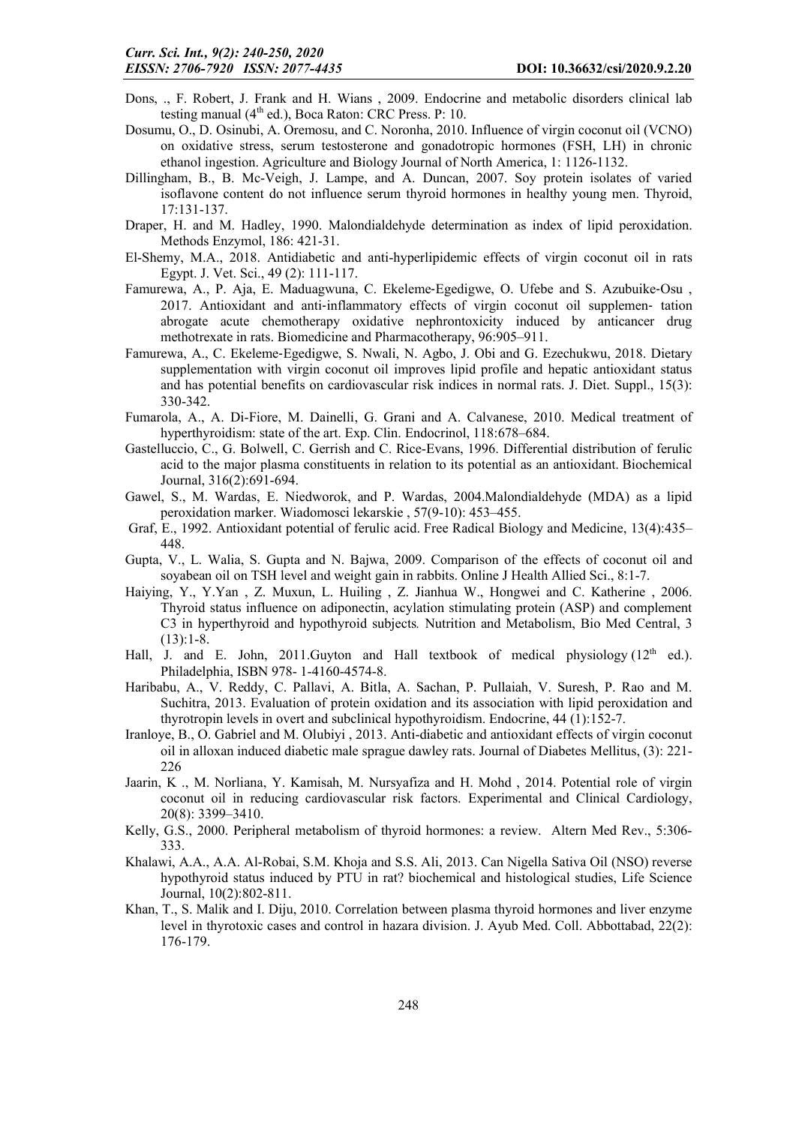- Dons, ., F. Robert, J. Frank and H. Wians , 2009. Endocrine and metabolic disorders clinical lab testing manual  $(4<sup>th</sup>$  ed.), Boca Raton: CRC Press. P: 10.
- Dosumu, O., D. Osinubi, A. Oremosu, and C. Noronha, 2010. Influence of virgin coconut oil (VCNO) on oxidative stress, serum testosterone and gonadotropic hormones (FSH, LH) in chronic ethanol ingestion. Agriculture and Biology Journal of North America, 1: 1126-1132.
- Dillingham, B., B. Mc-Veigh, J. Lampe, and A. Duncan, 2007. Soy protein isolates of varied isoflavone content do not influence serum thyroid hormones in healthy young men. Thyroid, 17:131-137.
- Draper, H. and M. Hadley, 1990. Malondialdehyde determination as index of lipid peroxidation. Methods Enzymol, 186: 421-31.
- El-Shemy, M.A., 2018. Antidiabetic and anti-hyperlipidemic effects of virgin coconut oil in rats Egypt. J. Vet. Sci., 49 (2): 111-117.
- Famurewa, A., P. Aja, E. Maduagwuna, C. Ekeleme‐Egedigwe, O. Ufebe and S. Azubuike‐Osu , 2017. Antioxidant and anti‐inflammatory effects of virgin coconut oil supplemen‐ tation abrogate acute chemotherapy oxidative nephrontoxicity induced by anticancer drug methotrexate in rats. Biomedicine and Pharmacotherapy, 96:905–911.
- Famurewa, A., C. Ekeleme‐Egedigwe, S. Nwali, N. Agbo, J. Obi and G. Ezechukwu, 2018. Dietary supplementation with virgin coconut oil improves lipid profile and hepatic antioxidant status and has potential benefits on cardiovascular risk indices in normal rats. J. Diet. Suppl., 15(3): 330-342.
- Fumarola, A., A. Di-Fiore, M. Dainelli, G. Grani and A. Calvanese, 2010. Medical treatment of hyperthyroidism: state of the art. Exp. Clin. Endocrinol, 118:678–684.
- Gastelluccio, C., G. Bolwell, C. Gerrish and C. Rice-Evans, 1996. Differential distribution of ferulic acid to the major plasma constituents in relation to its potential as an antioxidant. Biochemical Journal, 316(2):691-694.
- Gawel, S., M. Wardas, E. Niedworok, and P. Wardas, 2004.Malondialdehyde (MDA) as a lipid peroxidation marker. Wiadomosci lekarskie , 57(9-10): 453–455.
- Graf, E., 1992. Antioxidant potential of ferulic acid. Free Radical Biology and Medicine, 13(4):435– 448.
- Gupta, V., L. Walia, S. Gupta and N. Bajwa, 2009. Comparison of the effects of coconut oil and soyabean oil on TSH level and weight gain in rabbits. Online J Health Allied Sci., 8:1-7.
- Haiying, Y., Y.Yan , Z. Muxun, L. Huiling , Z. Jianhua W., Hongwei and C. Katherine , 2006. Thyroid status influence on adiponectin, acylation stimulating protein (ASP) and complement C3 in hyperthyroid and hypothyroid subjects*.* Nutrition and Metabolism, Bio Med Central, 3  $(13):1-8.$
- Hall, J. and E. John, 2011.Guyton and Hall textbook of medical physiology  $(12<sup>th</sup>$  ed.). Philadelphia, ISBN 978- 1-4160-4574-8.
- Haribabu, A., V. Reddy, C. Pallavi, A. Bitla, A. Sachan, P. Pullaiah, V. Suresh, P. Rao and M. Suchitra, 2013. Evaluation of protein oxidation and its association with lipid peroxidation and thyrotropin levels in overt and subclinical hypothyroidism. Endocrine, 44 (1):152-7.
- Iranloye, B., O. Gabriel and M. Olubiyi , 2013. Anti-diabetic and antioxidant effects of virgin coconut oil in alloxan induced diabetic male sprague dawley rats. Journal of Diabetes Mellitus, (3): 221- 226
- Jaarin, K ., M. Norliana, Y. Kamisah, M. Nursyafiza and H. Mohd , 2014. Potential role of virgin coconut oil in reducing cardiovascular risk factors. Experimental and Clinical Cardiology, 20(8): 3399–3410.
- Kelly, G.S., 2000. Peripheral metabolism of thyroid hormones: a review. Altern Med Rev., 5:306- 333.
- Khalawi, A.A., A.A. Al-Robai, S.M. Khoja and S.S. Ali, 2013. Can Nigella Sativa Oil (NSO) reverse hypothyroid status induced by PTU in rat? biochemical and histological studies, Life Science Journal, 10(2):802-811.
- Khan, T., S. Malik and I. Diju, 2010. Correlation between plasma thyroid hormones and liver enzyme level in thyrotoxic cases and control in hazara division. J. Ayub Med. Coll. Abbottabad, 22(2): 176-179.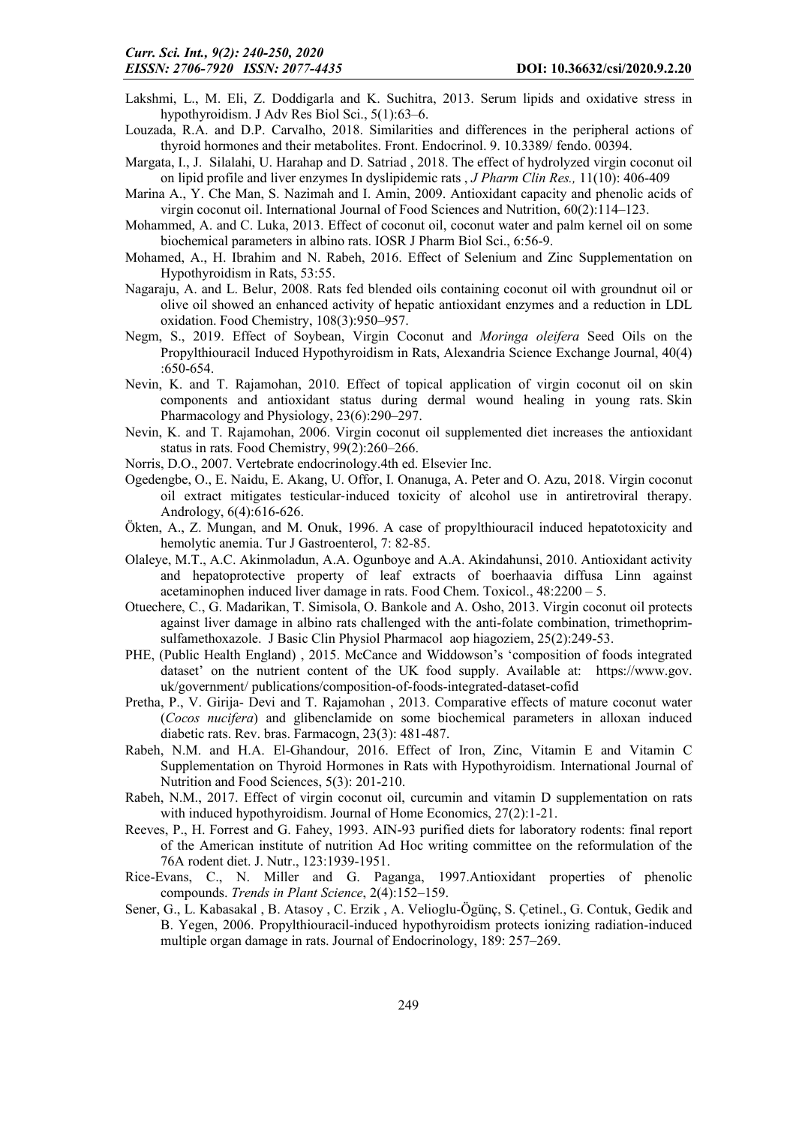- Lakshmi, L., M. Eli, Z. Doddigarla and K. Suchitra, 2013. Serum lipids and oxidative stress in hypothyroidism. J Adv Res Biol Sci., 5(1):63–6.
- Louzada, R.A. and D.P. Carvalho, 2018. Similarities and differences in the peripheral actions of thyroid hormones and their metabolites. Front. Endocrinol. 9. 10.3389/ fendo. 00394.
- Margata, I., J. Silalahi, U. Harahap and D. Satriad , 2018. The effect of hydrolyzed virgin coconut oil on lipid profile and liver enzymes In dyslipidemic rats , *J Pharm Clin Res.,* 11(10): 406-409
- Marina A., Y. Che Man, S. Nazimah and I. Amin, 2009. Antioxidant capacity and phenolic acids of virgin coconut oil. International Journal of Food Sciences and Nutrition, 60(2):114–123.
- Mohammed, A. and C. Luka, 2013. Effect of coconut oil, coconut water and palm kernel oil on some biochemical parameters in albino rats. IOSR J Pharm Biol Sci., 6:56-9.
- Mohamed, A., H. Ibrahim and N. Rabeh, 2016. Effect of Selenium and Zinc Supplementation on Hypothyroidism in Rats, 53:55.
- Nagaraju, A. and L. Belur, 2008. Rats fed blended oils containing coconut oil with groundnut oil or olive oil showed an enhanced activity of hepatic antioxidant enzymes and a reduction in LDL oxidation. Food Chemistry, 108(3):950–957.
- Negm, S., 2019. Effect of Soybean, Virgin Coconut and *Moringa oleifera* Seed Oils on the Propylthiouracil Induced Hypothyroidism in Rats, Alexandria Science Exchange Journal, 40(4) :650-654.
- Nevin, K. and T. Rajamohan, 2010. Effect of topical application of virgin coconut oil on skin components and antioxidant status during dermal wound healing in young rats. Skin Pharmacology and Physiology, 23(6):290–297.
- Nevin, K. and T. Rajamohan, 2006. Virgin coconut oil supplemented diet increases the antioxidant status in rats. Food Chemistry, 99(2):260–266.
- Norris, D.O., 2007. Vertebrate endocrinology.4th ed. Elsevier Inc.
- Ogedengbe, O., E. Naidu, E. Akang, U. Offor, I. Onanuga, A. Peter and O. Azu, 2018. Virgin coconut oil extract mitigates testicular‐induced toxicity of alcohol use in antiretroviral therapy. Andrology, 6(4):616-626.
- Ökten, A., Z. Mungan, and M. Onuk, 1996. A case of propylthiouracil induced hepatotoxicity and hemolytic anemia. Tur J Gastroenterol, 7: 82-85.
- Olaleye, M.T., A.C. Akinmoladun, A.A. Ogunboye and A.A. Akindahunsi, 2010. Antioxidant activity and hepatoprotective property of leaf extracts of boerhaavia diffusa Linn against acetaminophen induced liver damage in rats. Food Chem. Toxicol., 48:2200 – 5.
- Otuechere, C., G. Madarikan, T. Simisola, O. Bankole and A. Osho, 2013. Virgin coconut oil protects against liver damage in albino rats challenged with the anti-folate combination, trimethoprimsulfamethoxazole. J Basic Clin Physiol Pharmacol aop hiagoziem, 25(2):249-53.
- PHE, (Public Health England) , 2015. McCance and Widdowson's 'composition of foods integrated dataset' on the nutrient content of the UK food supply. Available at: https://www.gov. uk/government/ publications/composition-of-foods-integrated-dataset-cofid
- Pretha, P., V. Girija- Devi and T. Rajamohan , 2013. Comparative effects of mature coconut water (*Cocos nucifera*) and glibenclamide on some biochemical parameters in alloxan induced diabetic rats. Rev. bras. Farmacogn, 23(3): 481-487.
- Rabeh, N.M. and H.A. El-Ghandour, 2016. Effect of Iron, Zinc, Vitamin E and Vitamin C Supplementation on Thyroid Hormones in Rats with Hypothyroidism. International Journal of Nutrition and Food Sciences, 5(3): 201-210.
- Rabeh, N.M., 2017. Effect of virgin coconut oil, curcumin and vitamin D supplementation on rats with induced hypothyroidism. Journal of Home Economics, 27(2):1-21.
- Reeves, P., H. Forrest and G. Fahey, 1993. AIN-93 purified diets for laboratory rodents: final report of the American institute of nutrition Ad Hoc writing committee on the reformulation of the 76A rodent diet. J. Nutr., 123:1939-1951.
- Rice-Evans, C., N. Miller and G. Paganga, 1997.Antioxidant properties of phenolic compounds. *Trends in Plant Science*, 2(4):152–159.
- Sener, G., L. Kabasakal , B. Atasoy , C. Erzik , A. Velioglu-Ögünç, S. Çetinel., G. Contuk, Gedik and B. Yegen, 2006. Propylthiouracil-induced hypothyroidism protects ionizing radiation-induced multiple organ damage in rats. Journal of Endocrinology, 189: 257–269.